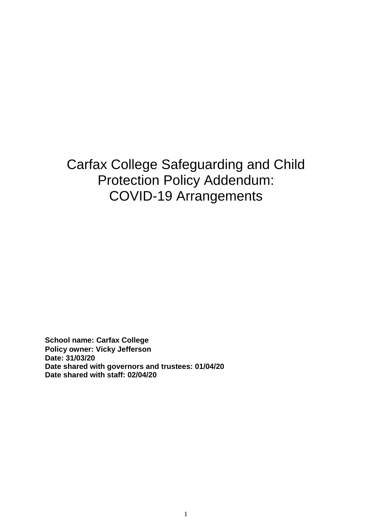Carfax College Safeguarding and Child Protection Policy Addendum: COVID-19 Arrangements

**School name: Carfax College Policy owner: Vicky Jefferson Date: 31/03/20 Date shared with governors and trustees: 01/04/20 Date shared with staff: 02/04/20**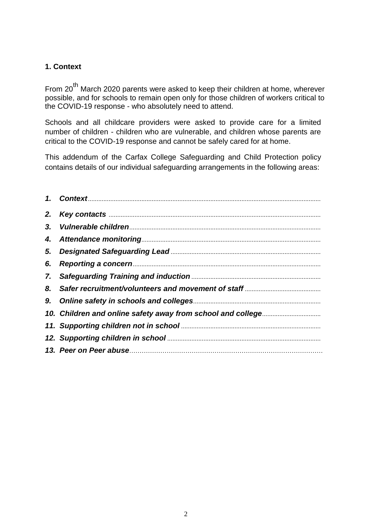### **1. Context**

From 20<sup>th</sup> March 2020 parents were asked to keep their children at home, wherever possible, and for schools to remain open only for those children of workers critical to the COVID-19 response - who absolutely need to attend.

Schools and all childcare providers were asked to provide care for a limited number of children - children who are vulnerable, and children whose parents are critical to the COVID-19 response and cannot be safely cared for at home.

This addendum of the Carfax College Safeguarding and Child Protection policy contains details of our individual safeguarding arrangements in the following areas: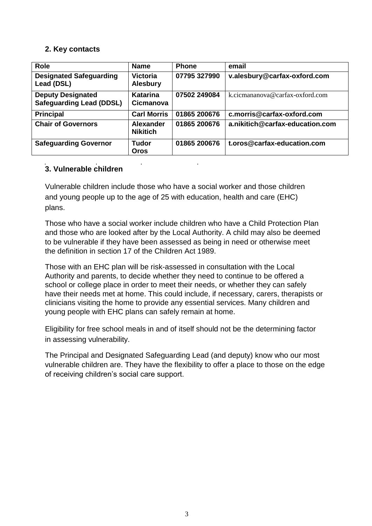### **2. Key contacts**

| <b>Role</b>                                                 | <b>Name</b>                         | <b>Phone</b> | email                           |
|-------------------------------------------------------------|-------------------------------------|--------------|---------------------------------|
| <b>Designated Safeguarding</b><br>Lead (DSL)                | <b>Victoria</b><br><b>Alesbury</b>  | 07795 327990 | v.alesbury@carfax-oxford.com    |
| <b>Deputy Designated</b><br><b>Safeguarding Lead (DDSL)</b> | Katarina<br><b>Cicmanova</b>        | 07502 249084 | k.cicmananova@carfax-oxford.com |
| <b>Principal</b>                                            | <b>Carl Morris</b>                  | 01865 200676 | c.morris@carfax-oxford.com      |
| <b>Chair of Governors</b>                                   | <b>Alexander</b><br><b>Nikitich</b> | 01865 200676 | a.nikitich@carfax-education.com |
| <b>Safeguarding Governor</b>                                | <b>Tudor</b><br><b>Oros</b>         | 01865 200676 | t.oros@carfax-education.com     |

## **3. Vulnerable children**

Vulnerable children include those who have a social worker and those children and young people up to the age of 25 with education, health and care (EHC) plans.

Those who have a social worker include children who have a Child Protection Plan and those who are looked after by the Local Authority. A child may also be deemed to be vulnerable if they have been assessed as being in need or otherwise meet the definition in section 17 of the Children Act 1989.

Those with an EHC plan will be risk-assessed in consultation with the Local Authority and parents, to decide whether they need to continue to be offered a school or college place in order to meet their needs, or whether they can safely have their needs met at home. This could include, if necessary, carers, therapists or clinicians visiting the home to provide any essential services. Many children and young people with EHC plans can safely remain at home.

Eligibility for free school meals in and of itself should not be the determining factor in assessing vulnerability.

The Principal and Designated Safeguarding Lead (and deputy) know who our most vulnerable children are. They have the flexibility to offer a place to those on the edge of receiving children's social care support.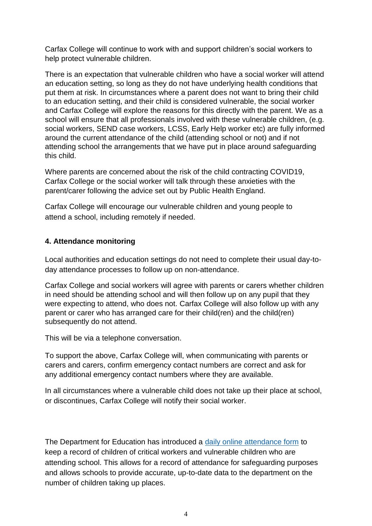Carfax College will continue to work with and support children's social workers to help protect vulnerable children.

There is an expectation that vulnerable children who have a social worker will attend an education setting, so long as they do not have underlying health conditions that put them at risk. In circumstances where a parent does not want to bring their child to an education setting, and their child is considered vulnerable, the social worker and Carfax College will explore the reasons for this directly with the parent. We as a school will ensure that all professionals involved with these vulnerable children, (e.g. social workers, SEND case workers, LCSS, Early Help worker etc) are fully informed around the current attendance of the child (attending school or not) and if not attending school the arrangements that we have put in place around safeguarding this child.

Where parents are concerned about the risk of the child contracting COVID19, Carfax College or the social worker will talk through these anxieties with the parent/carer following the advice set out by Public Health England.

Carfax College will encourage our vulnerable children and young people to attend a school, including remotely if needed.

### **4. Attendance monitoring**

Local authorities and education settings do not need to complete their usual day-today attendance processes to follow up on non-attendance.

Carfax College and social workers will agree with parents or carers whether children in need should be attending school and will then follow up on any pupil that they were expecting to attend, who does not. Carfax College will also follow up with any parent or carer who has arranged care for their child(ren) and the child(ren) subsequently do not attend.

This will be via a telephone conversation.

To support the above, Carfax College will, when communicating with parents or carers and carers, confirm emergency contact numbers are correct and ask for any additional emergency contact numbers where they are available.

In all circumstances where a vulnerable child does not take up their place at school, or discontinues, Carfax College will notify their social worker.

The Department for Education has introduced a [daily online attendance form](https://www.gov.uk/government/publications/coronavirus-covid-19-attendance-recording-for-educational-settings) to keep a record of children of critical workers and vulnerable children who are attending school. This allows for a record of attendance for safeguarding purposes and allows schools to provide accurate, up-to-date data to the department on the number of children taking up places.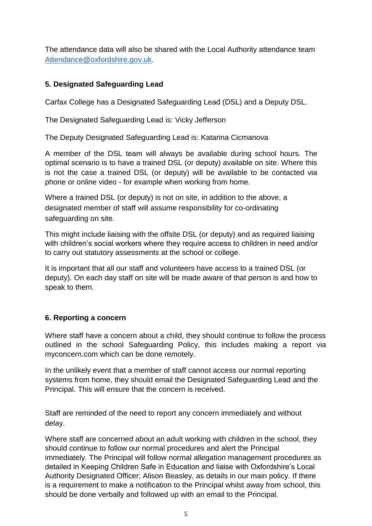The attendance data will also be shared with the Local Authority attendance team [Attendance@oxfordshire.gov.uk.](mailto:Attendance@oxfordshire.gov.uk)

## **5. Designated Safeguarding Lead**

Carfax College has a Designated Safeguarding Lead (DSL) and a Deputy DSL.

The Designated Safeguarding Lead is: Vicky Jefferson

The Deputy Designated Safeguarding Lead is: Katarina Cicmanova

A member of the DSL team will always be available during school hours. The optimal scenario is to have a trained DSL (or deputy) available on site. Where this is not the case a trained DSL (or deputy) will be available to be contacted via phone or online video - for example when working from home.

Where a trained DSL (or deputy) is not on site, in addition to the above, a designated member of staff will assume responsibility for co-ordinating safeguarding on site.

This might include liaising with the offsite DSL (or deputy) and as required liaising with children's social workers where they require access to children in need and/or to carry out statutory assessments at the school or college.

It is important that all our staff and volunteers have access to a trained DSL (or deputy). On each day staff on site will be made aware of that person is and how to speak to them.

## **6. Reporting a concern**

Where staff have a concern about a child, they should continue to follow the process outlined in the school Safeguarding Policy, this includes making a report via myconcern.com which can be done remotely.

In the unlikely event that a member of staff cannot access our normal reporting systems from home, they should email the Designated Safeguarding Lead and the Principal. This will ensure that the concern is received.

Staff are reminded of the need to report any concern immediately and without delay.

Where staff are concerned about an adult working with children in the school, they should continue to follow our normal procedures and alert the Principal immediately. The Principal will follow normal allegation management procedures as detailed in Keeping Children Safe in Education and liaise with Oxfordshire's Local Authority Designated Officer; Alison Beasley, as details in our main policy. If there is a requirement to make a notification to the Principal whilst away from school, this should be done verbally and followed up with an email to the Principal.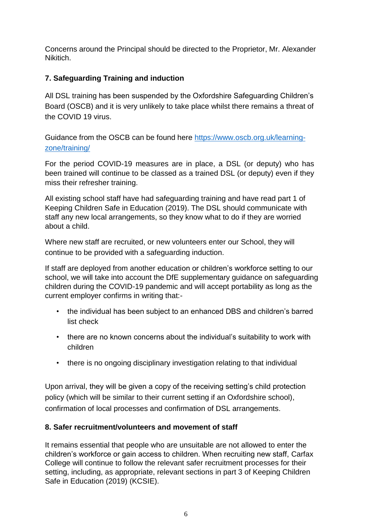Concerns around the Principal should be directed to the Proprietor, Mr. Alexander Nikitich.

# **7. Safeguarding Training and induction**

All DSL training has been suspended by the Oxfordshire Safeguarding Children's Board (OSCB) and it is very unlikely to take place whilst there remains a threat of the COVID 19 virus.

Guidance from the OSCB can be found here [https://www.oscb.org.uk/learning](https://www.oscb.org.uk/learning-zone/training/)[zone/training/](https://www.oscb.org.uk/learning-zone/training/)

For the period COVID-19 measures are in place, a DSL (or deputy) who has been trained will continue to be classed as a trained DSL (or deputy) even if they miss their refresher training.

All existing school staff have had safeguarding training and have read part 1 of Keeping Children Safe in Education (2019). The DSL should communicate with staff any new local arrangements, so they know what to do if they are worried about a child.

Where new staff are recruited, or new volunteers enter our School, they will continue to be provided with a safeguarding induction.

If staff are deployed from another education or children's workforce setting to our school, we will take into account the DfE supplementary guidance on safeguarding children during the COVID-19 pandemic and will accept portability as long as the current employer confirms in writing that:-

- the individual has been subject to an enhanced DBS and children's barred list check
- there are no known concerns about the individual's suitability to work with children
- there is no ongoing disciplinary investigation relating to that individual

Upon arrival, they will be given a copy of the receiving setting's child protection policy (which will be similar to their current setting if an Oxfordshire school), confirmation of local processes and confirmation of DSL arrangements.

# **8. Safer recruitment/volunteers and movement of staff**

It remains essential that people who are unsuitable are not allowed to enter the children's workforce or gain access to children. When recruiting new staff, Carfax College will continue to follow the relevant safer recruitment processes for their setting, including, as appropriate, relevant sections in part 3 of Keeping Children Safe in Education (2019) (KCSIE).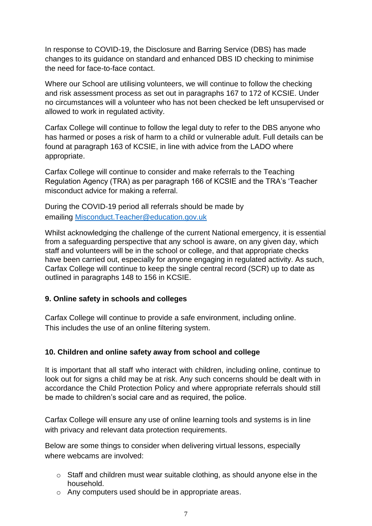In response to COVID-19, the Disclosure and Barring Service (DBS) has made changes to its guidance on standard and enhanced DBS ID checking to minimise the need for face-to-face contact.

Where our School are utilising volunteers, we will continue to follow the checking and risk assessment process as set out in paragraphs 167 to 172 of KCSIE. Under no circumstances will a volunteer who has not been checked be left unsupervised or allowed to work in regulated activity.

Carfax College will continue to follow the legal duty to refer to the DBS anyone who has harmed or poses a risk of harm to a child or vulnerable adult. Full details can be found at paragraph 163 of KCSIE, in line with advice from the LADO where appropriate.

Carfax College will continue to consider and make referrals to the Teaching Regulation Agency (TRA) as per paragraph 166 of KCSIE and the TRA's 'Teacher misconduct advice for making a referral.

During the COVID-19 period all referrals should be made by emailing Misconduct.Teacher@education.gov.uk

Whilst acknowledging the challenge of the current National emergency, it is essential from a safeguarding perspective that any school is aware, on any given day, which staff and volunteers will be in the school or college, and that appropriate checks have been carried out, especially for anyone engaging in regulated activity. As such, Carfax College will continue to keep the single central record (SCR) up to date as outlined in paragraphs 148 to 156 in KCSIE.

#### **9. Online safety in schools and colleges**

Carfax College will continue to provide a safe environment, including online. This includes the use of an online filtering system.

## **10. Children and online safety away from school and college**

It is important that all staff who interact with children, including online, continue to look out for signs a child may be at risk. Any such concerns should be dealt with in accordance the Child Protection Policy and where appropriate referrals should still be made to children's social care and as required, the police.

Carfax College will ensure any use of online learning tools and systems is in line with privacy and relevant data protection requirements.

Below are some things to consider when delivering virtual lessons, especially where webcams are involved:

- o Staff and children must wear suitable clothing, as should anyone else in the household.
- o Any computers used should be in appropriate areas.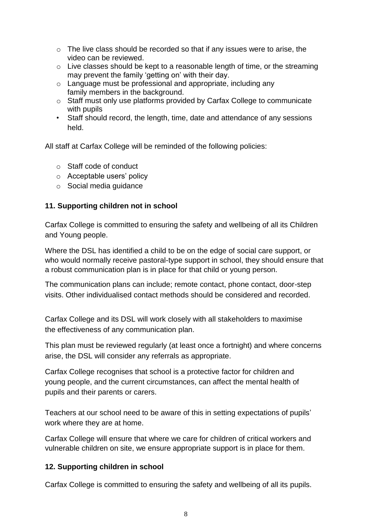- o The live class should be recorded so that if any issues were to arise, the video can be reviewed.
- o Live classes should be kept to a reasonable length of time, or the streaming may prevent the family 'getting on' with their day.
- o Language must be professional and appropriate, including any family members in the background.
- o Staff must only use platforms provided by Carfax College to communicate with pupils
- Staff should record, the length, time, date and attendance of any sessions held.

All staff at Carfax College will be reminded of the following policies:

- o Staff code of conduct
- o Acceptable users' policy
- o Social media guidance

### **11. Supporting children not in school**

Carfax College is committed to ensuring the safety and wellbeing of all its Children and Young people.

Where the DSL has identified a child to be on the edge of social care support, or who would normally receive pastoral-type support in school, they should ensure that a robust communication plan is in place for that child or young person.

The communication plans can include; remote contact, phone contact, door-step visits. Other individualised contact methods should be considered and recorded.

Carfax College and its DSL will work closely with all stakeholders to maximise the effectiveness of any communication plan.

This plan must be reviewed regularly (at least once a fortnight) and where concerns arise, the DSL will consider any referrals as appropriate.

Carfax College recognises that school is a protective factor for children and young people, and the current circumstances, can affect the mental health of pupils and their parents or carers.

Teachers at our school need to be aware of this in setting expectations of pupils' work where they are at home.

Carfax College will ensure that where we care for children of critical workers and vulnerable children on site, we ensure appropriate support is in place for them.

#### **12. Supporting children in school**

Carfax College is committed to ensuring the safety and wellbeing of all its pupils.